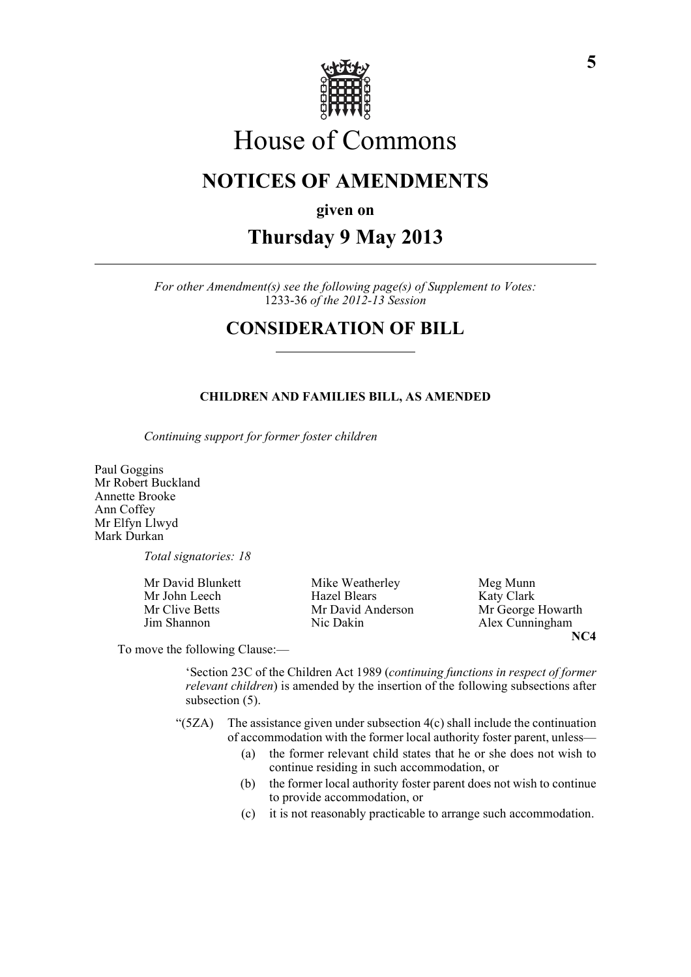

# House of Commons

# **NOTICES OF AMENDMENTS**

**given on**

# **Thursday 9 May 2013**

*For other Amendment(s) see the following page(s) of Supplement to Votes:* 1233-36 *of the 2012-13 Session*

## **CONSIDERATION OF BILL**

#### **CHILDREN AND FAMILIES BILL, AS AMENDED**

*Continuing support for former foster children*

Paul Goggins Mr Robert Buckland Annette Brooke Ann Coffey Mr Elfyn Llwyd Mark Durkan

*Total signatories: 18*

Mr David Blunkett Mike Weatherley Meg Munn Mr John Leech Hazel Blears Katy Clark Jim Shannon Nic Dakin Alex Cunningham

Mr Clive Betts Mr David Anderson Mr George Howarth **NC4**

To move the following Clause:—

'Section 23C of the Children Act 1989 (*continuing functions in respect of former relevant children*) is amended by the insertion of the following subsections after subsection (5).

- " $(5ZA)$  The assistance given under subsection  $4(c)$  shall include the continuation of accommodation with the former local authority foster parent, unless—
	- (a) the former relevant child states that he or she does not wish to continue residing in such accommodation, or
	- (b) the former local authority foster parent does not wish to continue to provide accommodation, or
	- (c) it is not reasonably practicable to arrange such accommodation.